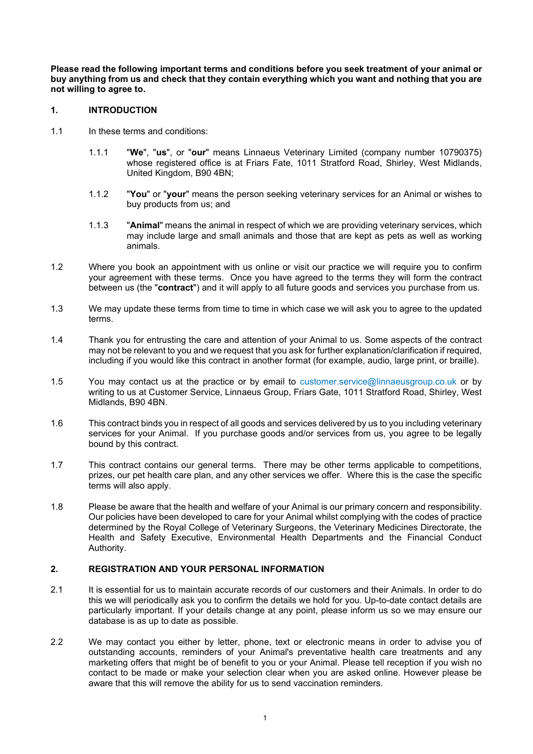**Please read the following important terms and conditions before you seek treatment of your animal or buy anything from us and check that they contain everything which you want and nothing that you are not willing to agree to.**

## **1. INTRODUCTION**

- 1.1 In these terms and conditions:
	- 1.1.1 "**We**", "**us**", or "**our**" means Linnaeus Veterinary Limited (company number 10790375) whose registered office is at Friars Fate, 1011 Stratford Road, Shirley, West Midlands, United Kingdom, B90 4BN;
	- 1.1.2 "**You**" or "**your**" means the person seeking veterinary services for an Animal or wishes to buy products from us; and
	- 1.1.3 "**Animal**" means the animal in respect of which we are providing veterinary services, which may include large and small animals and those that are kept as pets as well as working animals.
- 1.2 Where you book an appointment with us online or visit our practice we will require you to confirm your agreement with these terms. Once you have agreed to the terms they will form the contract between us (the "**contract**") and it will apply to all future goods and services you purchase from us.
- 1.3 We may update these terms from time to time in which case we will ask you to agree to the updated terms.
- 1.4 Thank you for entrusting the care and attention of your Animal to us. Some aspects of the contract may not be relevant to you and we request that you ask for further explanation/clarification if required, including if you would like this contract in another format (for example, audio, large print, or braille).
- 1.5 You may contact us at the practice or by email to customer.service@linnaeusgroup.co.uk or by writing to us at Customer Service, Linnaeus Group, Friars Gate, 1011 Stratford Road, Shirley, West Midlands, B90 4BN.
- 1.6 This contract binds you in respect of all goods and services delivered by us to you including veterinary services for your Animal. If you purchase goods and/or services from us, you agree to be legally bound by this contract.
- 1.7 This contract contains our general terms. There may be other terms applicable to competitions, prizes, our pet health care plan, and any other services we offer. Where this is the case the specific terms will also apply.
- 1.8 Please be aware that the health and welfare of your Animal is our primary concern and responsibility. Our policies have been developed to care for your Animal whilst complying with the codes of practice determined by the Royal College of Veterinary Surgeons, the Veterinary Medicines Directorate, the Health and Safety Executive, Environmental Health Departments and the Financial Conduct Authority.

# **2. REGISTRATION AND YOUR PERSONAL INFORMATION**

- 2.1 It is essential for us to maintain accurate records of our customers and their Animals. In order to do this we will periodically ask you to confirm the details we hold for you. Up-to-date contact details are particularly important. If your details change at any point, please inform us so we may ensure our database is as up to date as possible.
- 2.2 We may contact you either by letter, phone, text or electronic means in order to advise you of outstanding accounts, reminders of your Animal's preventative health care treatments and any marketing offers that might be of benefit to you or your Animal. Please tell reception if you wish no contact to be made or make your selection clear when you are asked online. However please be aware that this will remove the ability for us to send vaccination reminders.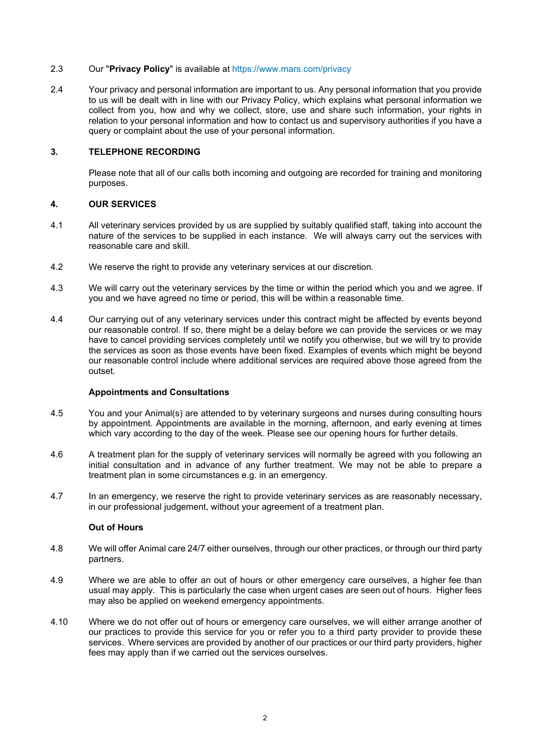### 2.3 Our "**Privacy Policy**" is available at https://www.mars.com/privacy

2.4 Your privacy and personal information are important to us. Any personal information that you provide to us will be dealt with in line with our Privacy Policy, which explains what personal information we collect from you, how and why we collect, store, use and share such information, your rights in relation to your personal information and how to contact us and supervisory authorities if you have a query or complaint about the use of your personal information.

# **3. TELEPHONE RECORDING**

Please note that all of our calls both incoming and outgoing are recorded for training and monitoring purposes.

### **4. OUR SERVICES**

- 4.1 All veterinary services provided by us are supplied by suitably qualified staff, taking into account the nature of the services to be supplied in each instance. We will always carry out the services with reasonable care and skill.
- 4.2 We reserve the right to provide any veterinary services at our discretion.
- 4.3 We will carry out the veterinary services by the time or within the period which you and we agree. If you and we have agreed no time or period, this will be within a reasonable time.
- 4.4 Our carrying out of any veterinary services under this contract might be affected by events beyond our reasonable control. If so, there might be a delay before we can provide the services or we may have to cancel providing services completely until we notify you otherwise, but we will try to provide the services as soon as those events have been fixed. Examples of events which might be beyond our reasonable control include where additional services are required above those agreed from the outset.

#### **Appointments and Consultations**

- 4.5 You and your Animal(s) are attended to by veterinary surgeons and nurses during consulting hours by appointment. Appointments are available in the morning, afternoon, and early evening at times which vary according to the day of the week. Please see our opening hours for further details.
- 4.6 A treatment plan for the supply of veterinary services will normally be agreed with you following an initial consultation and in advance of any further treatment. We may not be able to prepare a treatment plan in some circumstances e.g. in an emergency.
- 4.7 In an emergency, we reserve the right to provide veterinary services as are reasonably necessary, in our professional judgement, without your agreement of a treatment plan.

#### **Out of Hours**

- 4.8 We will offer Animal care 24/7 either ourselves, through our other practices, or through our third party partners.
- 4.9 Where we are able to offer an out of hours or other emergency care ourselves, a higher fee than usual may apply. This is particularly the case when urgent cases are seen out of hours. Higher fees may also be applied on weekend emergency appointments.
- 4.10 Where we do not offer out of hours or emergency care ourselves, we will either arrange another of our practices to provide this service for you or refer you to a third party provider to provide these services. Where services are provided by another of our practices or our third party providers, higher fees may apply than if we carried out the services ourselves.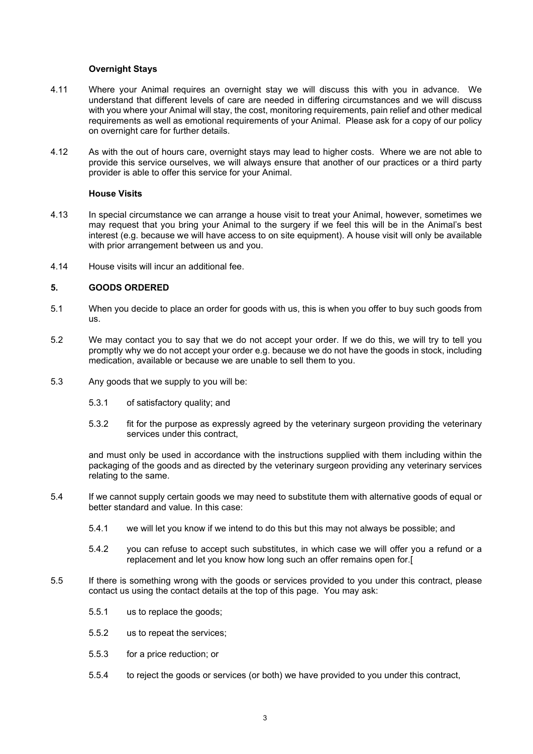### **Overnight Stays**

- 4.11 Where your Animal requires an overnight stay we will discuss this with you in advance. We understand that different levels of care are needed in differing circumstances and we will discuss with you where your Animal will stay, the cost, monitoring requirements, pain relief and other medical requirements as well as emotional requirements of your Animal. Please ask for a copy of our policy on overnight care for further details.
- 4.12 As with the out of hours care, overnight stays may lead to higher costs. Where we are not able to provide this service ourselves, we will always ensure that another of our practices or a third party provider is able to offer this service for your Animal.

#### **House Visits**

- 4.13 In special circumstance we can arrange a house visit to treat your Animal, however, sometimes we may request that you bring your Animal to the surgery if we feel this will be in the Animal's best interest (e.g. because we will have access to on site equipment). A house visit will only be available with prior arrangement between us and you.
- 4.14 House visits will incur an additional fee.

### **5. GOODS ORDERED**

- 5.1 When you decide to place an order for goods with us, this is when you offer to buy such goods from us.
- 5.2 We may contact you to say that we do not accept your order. If we do this, we will try to tell you promptly why we do not accept your order e.g. because we do not have the goods in stock, including medication, available or because we are unable to sell them to you.
- 5.3 Any goods that we supply to you will be:
	- 5.3.1 of satisfactory quality; and
	- 5.3.2 fit for the purpose as expressly agreed by the veterinary surgeon providing the veterinary services under this contract,

and must only be used in accordance with the instructions supplied with them including within the packaging of the goods and as directed by the veterinary surgeon providing any veterinary services relating to the same.

- 5.4 If we cannot supply certain goods we may need to substitute them with alternative goods of equal or better standard and value. In this case:
	- 5.4.1 we will let you know if we intend to do this but this may not always be possible; and
	- 5.4.2 you can refuse to accept such substitutes, in which case we will offer you a refund or a replacement and let you know how long such an offer remains open for.[
- 5.5 If there is something wrong with the goods or services provided to you under this contract, please contact us using the contact details at the top of this page. You may ask:
	- 5.5.1 us to replace the goods;
	- 5.5.2 us to repeat the services;
	- 5.5.3 for a price reduction; or
	- 5.5.4 to reject the goods or services (or both) we have provided to you under this contract,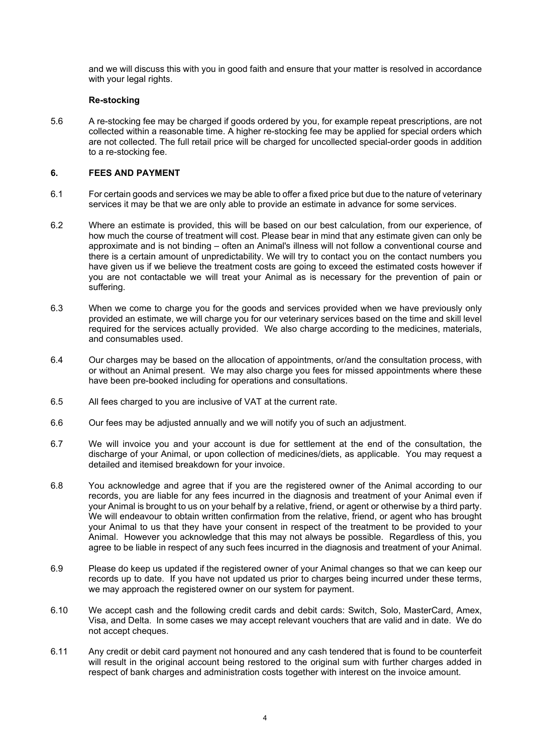and we will discuss this with you in good faith and ensure that your matter is resolved in accordance with your legal rights.

## **Re-stocking**

5.6 A re-stocking fee may be charged if goods ordered by you, for example repeat prescriptions, are not collected within a reasonable time. A higher re-stocking fee may be applied for special orders which are not collected. The full retail price will be charged for uncollected special-order goods in addition to a re-stocking fee.

### **6. FEES AND PAYMENT**

- 6.1 For certain goods and services we may be able to offer a fixed price but due to the nature of veterinary services it may be that we are only able to provide an estimate in advance for some services.
- 6.2 Where an estimate is provided, this will be based on our best calculation, from our experience, of how much the course of treatment will cost. Please bear in mind that any estimate given can only be approximate and is not binding – often an Animal's illness will not follow a conventional course and there is a certain amount of unpredictability. We will try to contact you on the contact numbers you have given us if we believe the treatment costs are going to exceed the estimated costs however if you are not contactable we will treat your Animal as is necessary for the prevention of pain or suffering.
- 6.3 When we come to charge you for the goods and services provided when we have previously only provided an estimate, we will charge you for our veterinary services based on the time and skill level required for the services actually provided. We also charge according to the medicines, materials, and consumables used.
- 6.4 Our charges may be based on the allocation of appointments, or/and the consultation process, with or without an Animal present. We may also charge you fees for missed appointments where these have been pre-booked including for operations and consultations.
- 6.5 All fees charged to you are inclusive of VAT at the current rate.
- 6.6 Our fees may be adjusted annually and we will notify you of such an adjustment.
- 6.7 We will invoice you and your account is due for settlement at the end of the consultation, the discharge of your Animal, or upon collection of medicines/diets, as applicable. You may request a detailed and itemised breakdown for your invoice.
- 6.8 You acknowledge and agree that if you are the registered owner of the Animal according to our records, you are liable for any fees incurred in the diagnosis and treatment of your Animal even if your Animal is brought to us on your behalf by a relative, friend, or agent or otherwise by a third party. We will endeavour to obtain written confirmation from the relative, friend, or agent who has brought your Animal to us that they have your consent in respect of the treatment to be provided to your Animal. However you acknowledge that this may not always be possible. Regardless of this, you agree to be liable in respect of any such fees incurred in the diagnosis and treatment of your Animal.
- 6.9 Please do keep us updated if the registered owner of your Animal changes so that we can keep our records up to date. If you have not updated us prior to charges being incurred under these terms, we may approach the registered owner on our system for payment.
- 6.10 We accept cash and the following credit cards and debit cards: Switch, Solo, MasterCard, Amex, Visa, and Delta. In some cases we may accept relevant vouchers that are valid and in date. We do not accept cheques.
- 6.11 Any credit or debit card payment not honoured and any cash tendered that is found to be counterfeit will result in the original account being restored to the original sum with further charges added in respect of bank charges and administration costs together with interest on the invoice amount.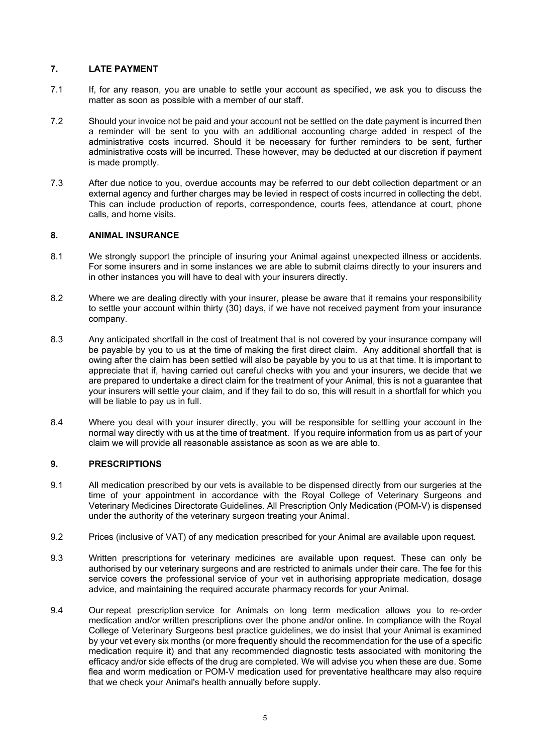# **7. LATE PAYMENT**

- 7.1 If, for any reason, you are unable to settle your account as specified, we ask you to discuss the matter as soon as possible with a member of our staff.
- 7.2 Should your invoice not be paid and your account not be settled on the date payment is incurred then a reminder will be sent to you with an additional accounting charge added in respect of the administrative costs incurred. Should it be necessary for further reminders to be sent, further administrative costs will be incurred. These however, may be deducted at our discretion if payment is made promptly.
- 7.3 After due notice to you, overdue accounts may be referred to our debt collection department or an external agency and further charges may be levied in respect of costs incurred in collecting the debt. This can include production of reports, correspondence, courts fees, attendance at court, phone calls, and home visits.

# **8. ANIMAL INSURANCE**

- 8.1 We strongly support the principle of insuring your Animal against unexpected illness or accidents. For some insurers and in some instances we are able to submit claims directly to your insurers and in other instances you will have to deal with your insurers directly.
- 8.2 Where we are dealing directly with your insurer, please be aware that it remains your responsibility to settle your account within thirty (30) days, if we have not received payment from your insurance company.
- 8.3 Any anticipated shortfall in the cost of treatment that is not covered by your insurance company will be payable by you to us at the time of making the first direct claim. Any additional shortfall that is owing after the claim has been settled will also be payable by you to us at that time. It is important to appreciate that if, having carried out careful checks with you and your insurers, we decide that we are prepared to undertake a direct claim for the treatment of your Animal, this is not a guarantee that your insurers will settle your claim, and if they fail to do so, this will result in a shortfall for which you will be liable to pay us in full.
- 8.4 Where you deal with your insurer directly, you will be responsible for settling your account in the normal way directly with us at the time of treatment. If you require information from us as part of your claim we will provide all reasonable assistance as soon as we are able to.

# **9. PRESCRIPTIONS**

- 9.1 All medication prescribed by our vets is available to be dispensed directly from our surgeries at the time of your appointment in accordance with the Royal College of Veterinary Surgeons and Veterinary Medicines Directorate Guidelines. All Prescription Only Medication (POM-V) is dispensed under the authority of the veterinary surgeon treating your Animal.
- 9.2 Prices (inclusive of VAT) of any medication prescribed for your Animal are available upon request.
- 9.3 Written prescriptions for veterinary medicines are available upon request. These can only be authorised by our veterinary surgeons and are restricted to animals under their care. The fee for this service covers the professional service of your vet in authorising appropriate medication, dosage advice, and maintaining the required accurate pharmacy records for your Animal.
- 9.4 Our repeat prescription service for Animals on long term medication allows you to re-order medication and/or written prescriptions over the phone and/or online. In compliance with the Royal College of Veterinary Surgeons best practice guidelines, we do insist that your Animal is examined by your vet every six months (or more frequently should the recommendation for the use of a specific medication require it) and that any recommended diagnostic tests associated with monitoring the efficacy and/or side effects of the drug are completed. We will advise you when these are due. Some flea and worm medication or POM-V medication used for preventative healthcare may also require that we check your Animal's health annually before supply.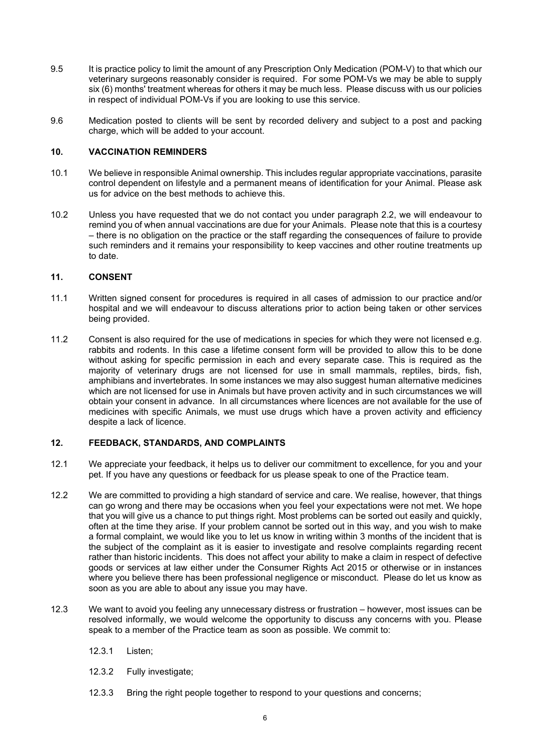- 9.5 It is practice policy to limit the amount of any Prescription Only Medication (POM-V) to that which our veterinary surgeons reasonably consider is required. For some POM-Vs we may be able to supply six (6) months' treatment whereas for others it may be much less. Please discuss with us our policies in respect of individual POM-Vs if you are looking to use this service.
- 9.6 Medication posted to clients will be sent by recorded delivery and subject to a post and packing charge, which will be added to your account.

# **10. VACCINATION REMINDERS**

- 10.1 We believe in responsible Animal ownership. This includes regular appropriate vaccinations, parasite control dependent on lifestyle and a permanent means of identification for your Animal. Please ask us for advice on the best methods to achieve this.
- 10.2 Unless you have requested that we do not contact you under paragraph 2.2, we will endeavour to remind you of when annual vaccinations are due for your Animals. Please note that this is a courtesy – there is no obligation on the practice or the staff regarding the consequences of failure to provide such reminders and it remains your responsibility to keep vaccines and other routine treatments up to date.

### **11. CONSENT**

- 11.1 Written signed consent for procedures is required in all cases of admission to our practice and/or hospital and we will endeavour to discuss alterations prior to action being taken or other services being provided.
- 11.2 Consent is also required for the use of medications in species for which they were not licensed e.g. rabbits and rodents. In this case a lifetime consent form will be provided to allow this to be done without asking for specific permission in each and every separate case. This is required as the majority of veterinary drugs are not licensed for use in small mammals, reptiles, birds, fish, amphibians and invertebrates. In some instances we may also suggest human alternative medicines which are not licensed for use in Animals but have proven activity and in such circumstances we will obtain your consent in advance. In all circumstances where licences are not available for the use of medicines with specific Animals, we must use drugs which have a proven activity and efficiency despite a lack of licence.

#### **12. FEEDBACK, STANDARDS, AND COMPLAINTS**

- 12.1 We appreciate your feedback, it helps us to deliver our commitment to excellence, for you and your pet. If you have any questions or feedback for us please speak to one of the Practice team.
- 12.2 We are committed to providing a high standard of service and care. We realise, however, that things can go wrong and there may be occasions when you feel your expectations were not met. We hope that you will give us a chance to put things right. Most problems can be sorted out easily and quickly, often at the time they arise. If your problem cannot be sorted out in this way, and you wish to make a formal complaint, we would like you to let us know in writing within 3 months of the incident that is the subject of the complaint as it is easier to investigate and resolve complaints regarding recent rather than historic incidents. This does not affect your ability to make a claim in respect of defective goods or services at law either under the Consumer Rights Act 2015 or otherwise or in instances where you believe there has been professional negligence or misconduct. Please do let us know as soon as you are able to about any issue you may have.
- 12.3 We want to avoid you feeling any unnecessary distress or frustration however, most issues can be resolved informally, we would welcome the opportunity to discuss any concerns with you. Please speak to a member of the Practice team as soon as possible. We commit to:
	- 12.3.1 Listen;
	- 12.3.2 Fully investigate;
	- 12.3.3 Bring the right people together to respond to your questions and concerns;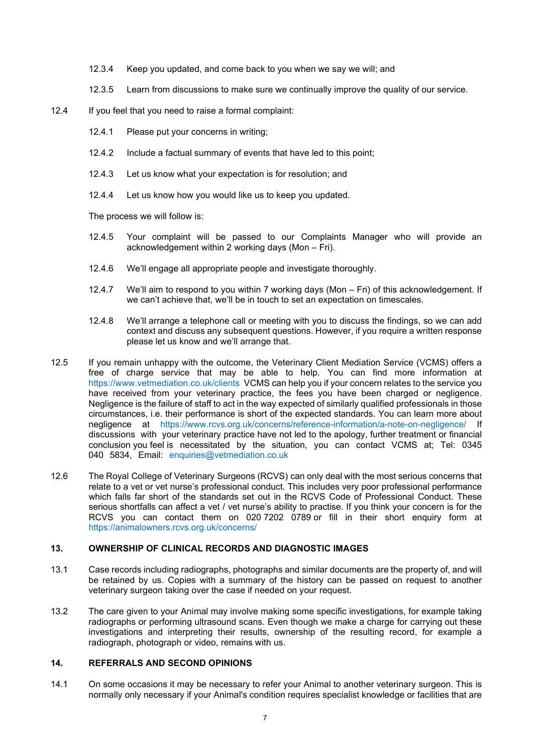- 12.3.4 Keep you updated, and come back to you when we say we will; and
- 12.3.5 Learn from discussions to make sure we continually improve the quality of our service.
- 12.4 If you feel that you need to raise a formal complaint:
	- 12.4.1 Please put your concerns in writing;
	- 12.4.2 Include a factual summary of events that have led to this point;
	- 12.4.3 Let us know what your expectation is for resolution; and
	- 12.4.4 Let us know how you would like us to keep you updated.

The process we will follow is:

- 12.4.5 Your complaint will be passed to our Complaints Manager who will provide an acknowledgement within 2 working days (Mon – Fri).
- 12.4.6 We'll engage all appropriate people and investigate thoroughly.
- 12.4.7 We'll aim to respond to you within 7 working days (Mon Fri) of this acknowledgement. If we can't achieve that, we'll be in touch to set an expectation on timescales.
- 12.4.8 We'll arrange a telephone call or meeting with you to discuss the findings, so we can add context and discuss any subsequent questions. However, if you require a written response please let us know and we'll arrange that.
- 12.5 If you remain unhappy with the outcome, the Veterinary Client Mediation Service (VCMS) offers a free of charge service that may be able to help. You can find more information at https://www.vetmediation.co.uk/clients VCMS can help you if your concern relates to the service you have received from your veterinary practice, the fees you have been charged or negligence. Negligence is the failure of staff to act in the way expected of similarly qualified professionals in those circumstances, i.e. their performance is short of the expected standards. You can learn more about negligence at https://www.rcvs.org.uk/concerns/reference-information/a-note-on-negligence/ If discussions with your veterinary practice have not led to the apology, further treatment or financial conclusion you feel is necessitated by the situation, you can contact VCMS at; Tel: 0345 040 5834, Email: enquiries@vetmediation.co.uk
- 12.6 The Royal College of Veterinary Surgeons (RCVS) can only deal with the most serious concerns that relate to a vet or vet nurse's professional conduct. This includes very poor professional performance which falls far short of the standards set out in the RCVS Code of Professional Conduct. These serious shortfalls can affect a vet / vet nurse's ability to practise. If you think your concern is for the RCVS you can contact them on 020 7202 0789 or fill in their short enquiry form at https://animalowners.rcvs.org.uk/concerns/

# **13. OWNERSHIP OF CLINICAL RECORDS AND DIAGNOSTIC IMAGES**

- 13.1 Case records including radiographs, photographs and similar documents are the property of, and will be retained by us. Copies with a summary of the history can be passed on request to another veterinary surgeon taking over the case if needed on your request.
- 13.2 The care given to your Animal may involve making some specific investigations, for example taking radiographs or performing ultrasound scans. Even though we make a charge for carrying out these investigations and interpreting their results, ownership of the resulting record, for example a radiograph, photograph or video, remains with us.

# **14. REFERRALS AND SECOND OPINIONS**

14.1 On some occasions it may be necessary to refer your Animal to another veterinary surgeon. This is normally only necessary if your Animal's condition requires specialist knowledge or facilities that are